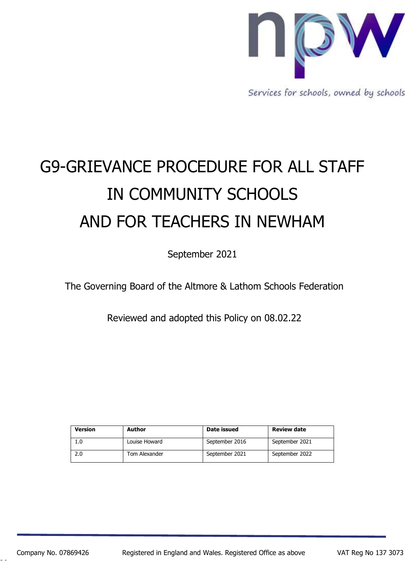

Services for schools, owned by schools

# G9-GRIEVANCE PROCEDURE FOR ALL STAFF IN COMMUNITY SCHOOLS AND FOR TEACHERS IN NEWHAM

September 2021

The Governing Board of the Altmore & Lathom Schools Federation

Reviewed and adopted this Policy on 08.02.22

| Version | <b>Author</b> | Date issued    | <b>Review date</b> |
|---------|---------------|----------------|--------------------|
|         | Louise Howard | September 2016 | September 2021     |
| 2.0     | Tom Alexander | September 2021 | September 2022     |

26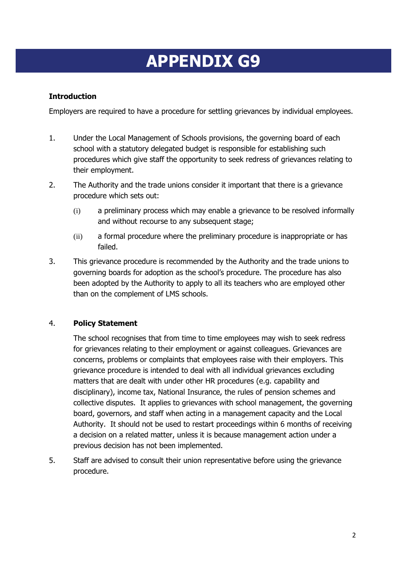## **APPENDIX G9**

#### **Introduction**

Employers are required to have a procedure for settling grievances by individual employees.

- 1. Under the Local Management of Schools provisions, the governing board of each school with a statutory delegated budget is responsible for establishing such procedures which give staff the opportunity to seek redress of grievances relating to their employment.
- 2. The Authority and the trade unions consider it important that there is a grievance procedure which sets out:
	- (i) a preliminary process which may enable a grievance to be resolved informally and without recourse to any subsequent stage;
	- (ii) a formal procedure where the preliminary procedure is inappropriate or has failed.
- 3. This grievance procedure is recommended by the Authority and the trade unions to governing boards for adoption as the school's procedure. The procedure has also been adopted by the Authority to apply to all its teachers who are employed other than on the complement of LMS schools.

#### 4. **Policy Statement**

The school recognises that from time to time employees may wish to seek redress for grievances relating to their employment or against colleagues. Grievances are concerns, problems or complaints that employees raise with their employers. This grievance procedure is intended to deal with all individual grievances excluding matters that are dealt with under other HR procedures (e.g. capability and disciplinary), income tax, National Insurance, the rules of pension schemes and collective disputes. It applies to grievances with school management, the governing board, governors, and staff when acting in a management capacity and the Local Authority. It should not be used to restart proceedings within 6 months of receiving a decision on a related matter, unless it is because management action under a previous decision has not been implemented.

5. Staff are advised to consult their union representative before using the grievance procedure.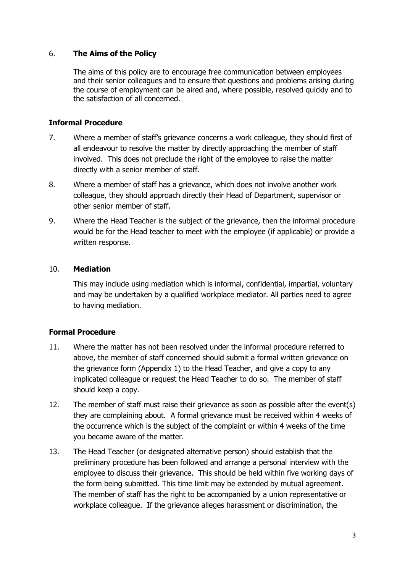#### 6. **The Aims of the Policy**

The aims of this policy are to encourage free communication between employees and their senior colleagues and to ensure that questions and problems arising during the course of employment can be aired and, where possible, resolved quickly and to the satisfaction of all concerned.

#### **Informal Procedure**

- 7. Where a member of staff's grievance concerns a work colleague, they should first of all endeavour to resolve the matter by directly approaching the member of staff involved. This does not preclude the right of the employee to raise the matter directly with a senior member of staff.
- 8. Where a member of staff has a grievance, which does not involve another work colleague, they should approach directly their Head of Department, supervisor or other senior member of staff.
- 9. Where the Head Teacher is the subject of the grievance, then the informal procedure would be for the Head teacher to meet with the employee (if applicable) or provide a written response.

#### 10. **Mediation**

This may include using mediation which is informal, confidential, impartial, voluntary and may be undertaken by a qualified workplace mediator. All parties need to agree to having mediation.

#### **Formal Procedure**

- 11. Where the matter has not been resolved under the informal procedure referred to above, the member of staff concerned should submit a formal written grievance on the grievance form (Appendix 1) to the Head Teacher, and give a copy to any implicated colleague or request the Head Teacher to do so. The member of staff should keep a copy.
- 12. The member of staff must raise their grievance as soon as possible after the event(s) they are complaining about. A formal grievance must be received within 4 weeks of the occurrence which is the subject of the complaint or within 4 weeks of the time you became aware of the matter.
- 13. The Head Teacher (or designated alternative person) should establish that the preliminary procedure has been followed and arrange a personal interview with the employee to discuss their grievance. This should be held within five working days of the form being submitted. This time limit may be extended by mutual agreement. The member of staff has the right to be accompanied by a union representative or workplace colleague. If the grievance alleges harassment or discrimination, the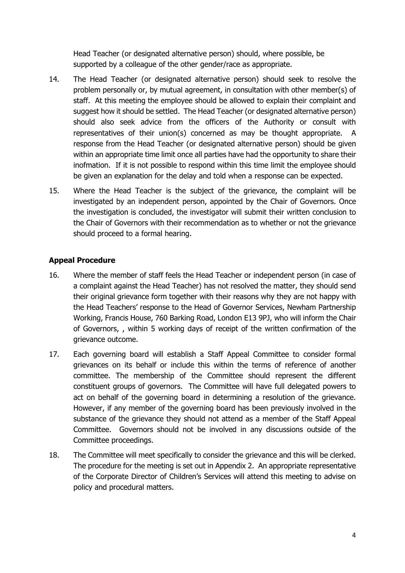Head Teacher (or designated alternative person) should, where possible, be supported by a colleague of the other gender/race as appropriate.

- 14. The Head Teacher (or designated alternative person) should seek to resolve the problem personally or, by mutual agreement, in consultation with other member(s) of staff. At this meeting the employee should be allowed to explain their complaint and suggest how it should be settled. The Head Teacher (or designated alternative person) should also seek advice from the officers of the Authority or consult with representatives of their union(s) concerned as may be thought appropriate. A response from the Head Teacher (or designated alternative person) should be given within an appropriate time limit once all parties have had the opportunity to share their inofmation. If it is not possible to respond within this time limit the employee should be given an explanation for the delay and told when a response can be expected.
- 15. Where the Head Teacher is the subject of the grievance, the complaint will be investigated by an independent person, appointed by the Chair of Governors. Once the investigation is concluded, the investigator will submit their written conclusion to the Chair of Governors with their recommendation as to whether or not the grievance should proceed to a formal hearing.

#### **Appeal Procedure**

- 16. Where the member of staff feels the Head Teacher or independent person (in case of a complaint against the Head Teacher) has not resolved the matter, they should send their original grievance form together with their reasons why they are not happy with the Head Teachers' response to the Head of Governor Services, Newham Partnership Working, Francis House, 760 Barking Road, London E13 9PJ, who will inform the Chair of Governors, , within 5 working days of receipt of the written confirmation of the grievance outcome.
- 17. Each governing board will establish a Staff Appeal Committee to consider formal grievances on its behalf or include this within the terms of reference of another committee. The membership of the Committee should represent the different constituent groups of governors. The Committee will have full delegated powers to act on behalf of the governing board in determining a resolution of the grievance. However, if any member of the governing board has been previously involved in the substance of the grievance they should not attend as a member of the Staff Appeal Committee. Governors should not be involved in any discussions outside of the Committee proceedings.
- 18. The Committee will meet specifically to consider the grievance and this will be clerked. The procedure for the meeting is set out in Appendix 2. An appropriate representative of the Corporate Director of Children's Services will attend this meeting to advise on policy and procedural matters.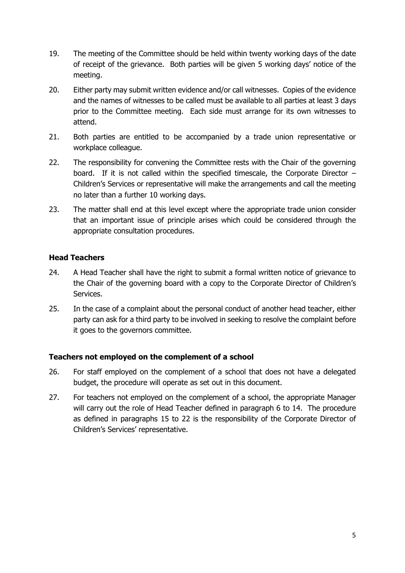- 19. The meeting of the Committee should be held within twenty working days of the date of receipt of the grievance. Both parties will be given 5 working days' notice of the meeting.
- 20. Either party may submit written evidence and/or call witnesses. Copies of the evidence and the names of witnesses to be called must be available to all parties at least 3 days prior to the Committee meeting. Each side must arrange for its own witnesses to attend.
- 21. Both parties are entitled to be accompanied by a trade union representative or workplace colleague.
- 22. The responsibility for convening the Committee rests with the Chair of the governing board. If it is not called within the specified timescale, the Corporate Director – Children's Services or representative will make the arrangements and call the meeting no later than a further 10 working days.
- 23. The matter shall end at this level except where the appropriate trade union consider that an important issue of principle arises which could be considered through the appropriate consultation procedures.

#### **Head Teachers**

- 24. A Head Teacher shall have the right to submit a formal written notice of grievance to the Chair of the governing board with a copy to the Corporate Director of Children's Services.
- 25. In the case of a complaint about the personal conduct of another head teacher, either party can ask for a third party to be involved in seeking to resolve the complaint before it goes to the governors committee.

#### **Teachers not employed on the complement of a school**

- 26. For staff employed on the complement of a school that does not have a delegated budget, the procedure will operate as set out in this document.
- 27. For teachers not employed on the complement of a school, the appropriate Manager will carry out the role of Head Teacher defined in paragraph 6 to 14. The procedure as defined in paragraphs 15 to 22 is the responsibility of the Corporate Director of Children's Services' representative.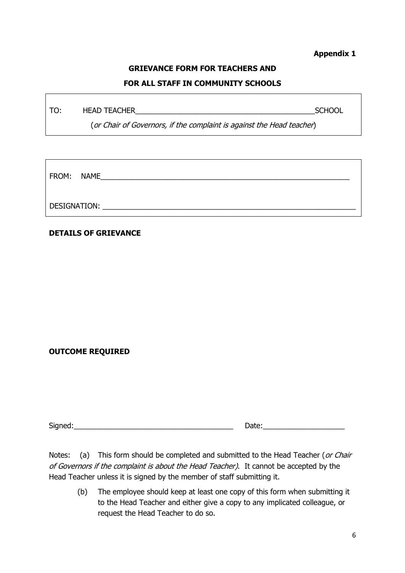#### **Appendix 1**

### **GRIEVANCE FORM FOR TEACHERS AND**

#### **FOR ALL STAFF IN COMMUNITY SCHOOLS**

TO: HEAD TEACHER\_\_\_\_\_\_\_\_\_\_\_\_\_\_\_\_\_\_\_\_\_\_\_\_\_\_\_\_\_\_\_\_\_\_\_\_\_\_\_\_\_\_\_\_SCHOOL

(or Chair of Governors, if the complaint is against the Head teacher)

| FROM: NAME   |  |  |  |  |
|--------------|--|--|--|--|
| DESIGNATION: |  |  |  |  |

#### **DETAILS OF GRIEVANCE**

#### **OUTCOME REQUIRED**

Signed:\_\_\_\_\_\_\_\_\_\_\_\_\_\_\_\_\_\_\_\_\_\_\_\_\_\_\_\_\_\_\_\_\_\_\_\_\_\_\_ Date:\_\_\_\_\_\_\_\_\_\_\_\_\_\_\_\_\_\_\_\_

Notes: (a) This form should be completed and submitted to the Head Teacher (or Chair of Governors if the complaint is about the Head Teacher). It cannot be accepted by the Head Teacher unless it is signed by the member of staff submitting it.

(b) The employee should keep at least one copy of this form when submitting it to the Head Teacher and either give a copy to any implicated colleague, or request the Head Teacher to do so.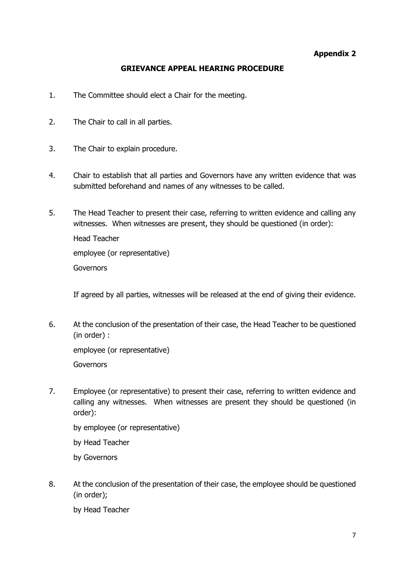#### **Appendix 2**

#### **GRIEVANCE APPEAL HEARING PROCEDURE**

- 1. The Committee should elect a Chair for the meeting.
- 2. The Chair to call in all parties.
- 3. The Chair to explain procedure.
- 4. Chair to establish that all parties and Governors have any written evidence that was submitted beforehand and names of any witnesses to be called.
- 5. The Head Teacher to present their case, referring to written evidence and calling any witnesses. When witnesses are present, they should be questioned (in order):

Head Teacher employee (or representative) **Governors** 

If agreed by all parties, witnesses will be released at the end of giving their evidence.

6. At the conclusion of the presentation of their case, the Head Teacher to be questioned (in order) :

employee (or representative) **Governors** 

7. Employee (or representative) to present their case, referring to written evidence and calling any witnesses. When witnesses are present they should be questioned (in order):

by employee (or representative) by Head Teacher

- by Governors
- 8. At the conclusion of the presentation of their case, the employee should be questioned (in order);

by Head Teacher